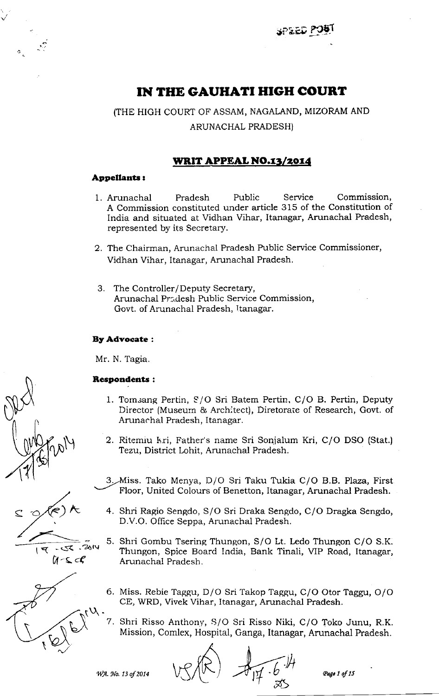di}LriJpg:r

# IN THE GAUHATI HIGH COURT

(THE HIGH COURT OF ASSAM, NAGALAND, MIZORAM AND ARUNACHAL PRADESH)

# WRIT APPEAL NO.13/2014

### Appellants :

- 1. Arunachal Pradesh Public Service Commission, A Commission constituted under article 315 of the Constitution of India and situated at Vidhan Vihar, Itanagar, Arunachal Pradesh, represented by its Secretary.
- 2. The Chairman, Arunachal Pradesh Public Service Commissioner, Vidhan Vihar, Itanagar, Arunachal Pradesh.
- 3. The Controller/ Deputy Secretary, Arunachal Pr;.desh Public Service Commission, Govt. of Arunachal Pradesh, Ttanagar.

### EyAdvocate:

Mr. N. Tagia

### **Respondents:**

 $\mathcal{A}(k)$ K

 $14 - 56$ 

 $\mathcal{L}$ 

i<br>11 - S c.C

 $.7014$ 

- 1. Tomsang Pertin, S/O Sri Batem Pertin, C/O B. Pertin, Deputy Director (Museum & Arch:tect), Diretorate of Research, Govt. of Amnachal Pradesh, Itanagar.
- 2. Ritemiu kri, Father's name Sri Sonjalum Kri, C/O DSO (Stat.) Tezu, District Lohit, Arunachal Pradesh.
- 3. Miss. Tako Menya, D/O Sri Taku Tukia C/O B.B. Plaza, First Floor, United Colours of Benetton, Itanagar, Arunachal Pradesh.
- 4. Shri Ragio Sengdo, S/O Sri Draka Sengdo, C/O Dragka Sengdo, D.V.O. Ofhce Seppa, Arunachal Pradesh.
- 5. Shri Gombu Tsering Thungon, S/O Lt. Ledo Thungon C/O S.K. Thungon, Spice Board India, Bank Tinali, VIP Road, Itanagar, Arunachal Pradesh.
- 6. Miss. Rebie Taggu, D/O Sri Takop Taggu, C/O Otor Taggu, O/O
- 7. Shri Risso Anthony, S/O Sri Risso Niki, C/O Toko Junu, R.K. Mission, Comlex, Hospital, Ganga, Itanagar, Arunachal Pradesh.

WA. No. 13 of 2014

 $\widetilde{\mathfrak{A}}$ I )h  $\stackrel{\textstyle\approx}{\approx}$ 

Page 1 of 15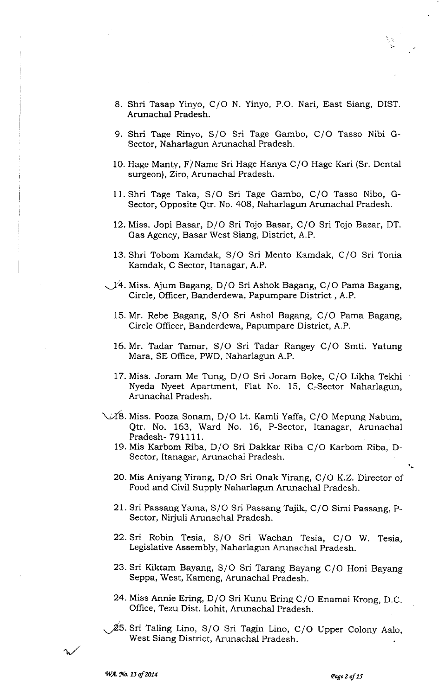- 8. Shri Tasap Yinyo, C/o N. Yinyo, P.O. Nari, East Siang, DIST. Arunachal Pradesh.
- 9. Shri Tage Rinyo, S/O Sri Tage Gambo, C/O Tasso Nibi G-Sector, Naharlagun Arunachal Pradesh.
- 10. Hage Manty, F/Name Sri Hage Hanya C/O Hage Kari (Sr. Dental surgeon), Ziro, Arunachal Pradesh.
- 11.Shri Tage Taka, S/O Sri Tage Gambo, C/O Tasso Nibo, G-Sector, Opposite Qtr. No. 408, Naharlagun Arunachal Pradesh.
- 12. Miss. Jopi Basar, D/O Sri Tojo Basar, C/O Sri Tojo Bazar, DT. Gas Agency, Basar West Siang, District, A.P.
- 13. Shri Tobom Kamdak, S/O Sri Mento Kamdak, C/O Sri Tonia Kamdak, C Sector, Itanagar, A.P.
- $\sqrt{14}$ . Miss. Ajum Bagang, D/O Sri Ashok Bagang, C/O Pama Bagang, Circle, Officer, Banderdewa, Papumpare District , A.P.
	- 15. Mr. Rebe Bagang, S/O Sri Ashol Bagang, C/O Pama Bagang, Circle Officer, Banderdewa, Papumpare District, A.P.
	- 16. Mr. Tadar Tamar, S/O Sri Tadar Rangey C/O Smti. Yatung Mara, SE Office, PWD, Naharlagun A.P.
	- 17. Miss. Joram Me Tung, D/O Sri Joram Boke, C/O Likha Tekhi Nyeda Nyeet Apartment, Flat No. 15, C:Sector Naharlagun, Arunachal Pradesh.
- $\sqrt{18}$ . Miss. Pooza Sonam, D/O Lt. Kamli Yaffa, C/O Mepung Nabum, Qtr. No. 163, Ward No. 16, P-Sector, Itanagar, Arunacha1 Pradesh- 791111.
	- 19. Mis Karbom Riba, D/O Sri Dakkar Riba C/O Karbom Riba, D-Sector, Itanagar, Arunachal Pradesh.
	- 20. Mis Aniyang Yirang, D/O Sri Onak Yirang, C/O K.Z. Director of Food and Civil Supply Naharlagun Arunachal Pradesh.
	- 21. Sri Passang Yama, S/O Sri Passang Tajik, C/O Simi Passang, P-Sector, Nirjuli Arunachal Pradesh.
	- 22. Sri Robin Tesia, S/O Sri Wachan Tesia, C/O W. Tesia, Legislative Assembly, Naharlagun Arunachal Pradesh.
	- 23. Sri Kiktam Bayang, S/O Sri Tarang Bavang C/O Honi Bayang Seppa, West, Kameng, Arunachal Pradesh.
	- 24. Miss Annie Ering, D/O Sri Kunu Ering C/O Enamai Krong, D.C. Office, Tezu Dist. Lohit, Arunachal Pradesh.
- $\cancel{2}5$ . Sri Taling Lino, S/O Sri Tagin Lino, C/O Upper Colony Aalo, West Siang District, Arunachal Pradesh.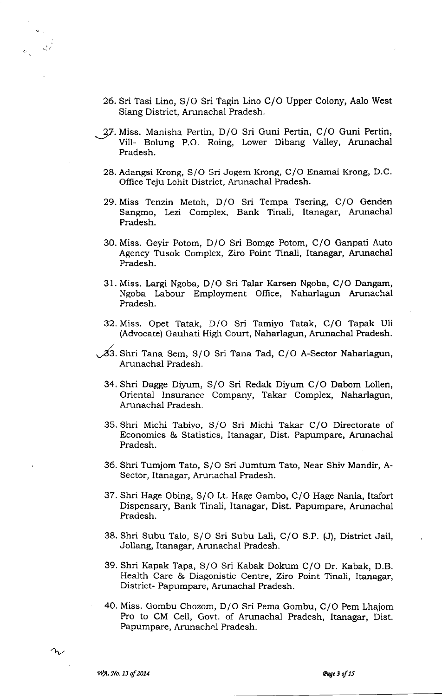- 26. Sri Tasi Lino, S/O Sri Tagin Lino C/O Upper Colony, Aalo West Siang District, Arunachal Pradesh.
- 27. Miss. Manisha Pertin, D/O Sri Guni Pertin, C/O Guni Pertin, Vill- Bolung P.O. Roing, Lower Dibang Valley, Arunachal Pradesh.
	- 28. Adangsi Krong, S/O Sri Jogem Krong, C/O Enamai Krong, D.C. Office Teju Lohit District, Arunachal Pradesh.
	- 29. Miss Tenzin Metoh, D/O Sri Tempa Tsering, C/O Genden Sangmo, Lezi Complex, Bank Tinali, Itanagar, Arunachal Pradesh.
	- 30. Miss. Geyir Potom, D/O Sri Bomge Potom, C/O Ganpati Auto Agency Tusok Complex, Ziro Point Tinali, Itanagar, Arunachal Pradesh.
	- 31. Miss. Largi Ngoba, D/O Sri Talar Karsen Ngoba, C/O Dangam, Ngoba Labour Employment Office, Naharlagun Arunachal Pradesh.
	- 32. Miss. Opet Tatak, D/O Sri Tamivo Tatak, C/O Tapak Uli (Advocate) Gauhati High Court, Naharlagun, Arunachal Pradesh.
- \-dS. Shri Tana Sem, S/O Sri Tana Tad, C/O A-sector Naharlagun, Arunachal Pradesh.
	- 34. Shri Dagge Diyum, S/O Sri Redak Diyum C/O Dabom Lollen, Oriental Insurance Company, Takar Complex, Naharlagun, Arunachal Pradesh.
	- 35. Shri Michi Tabiyo, S/O Sri Michi Takar C/O Directorate of Economics & Statistics, Itanagar, Dist. Papumpare, Arunachal Pradesh.
	- 36. Shri Tumjom Tato, S/O Sri Jumtum Tato, Near Shiv Mandir, A-Sector, Itanagar, Arunachal Pradesh.
	- 37. Shri Hage Obing, S/O Lt. Hage Gambo, C/O Hage Nania, Itafort Dispensary, Bank Tinali, Itanagar, Dist. Papumpare, Arunachal Pradesh.
	- 38. Shri Subu Talo, S/O Sri Subu Lali, C/O S.P. (J), District Jail, Jollang, Itanagar, Arunachal Pradesh.
	- 39. Shri Kapak Tapa, S/O Sri Kabak Dokum C/O Dr. Kabak, D.B. Health Care & Diagonistic Centre, Ziro Point Tinali, Itanagar, District- Papumpare, Arunachal Pradesh.
	- 40. Miss. Gombu Chozom, D/O Sri Pema Gombu, C/O Pem Lhaiom Pro to CM Ceil, Govt. of Arunachal Pradesh, Itanagar, Dist. Papumpare, Arunachal Pradesh.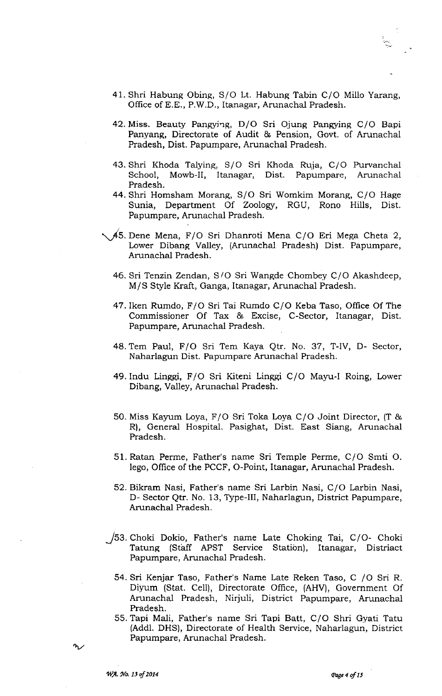- 41. Shri Habung Obine, S/O Lt. Habung Tabin C/O Millo Yarang, Office of E.E., P.W.D., Itanagar, Arunachal Pradesh.
- 42. Miss. Beauty Pangying, D/O Sri Ojung Pangying C/O Bapi Panyang, Directorate of Audit & Pension, Govt. of Amnachal Pradesh, Dist. Papumpare, Arunachal Pradesh.
- 43. Shri Khoda Talying, S/O Sri Khoda Ruia, C/O Purvanchal School, Mowb-ll, Itanagar, Dist. Papumpare, Arunachal Pradesh.
- 44. Shri Homsham Morang, S/O Sri Womkim Morang, C/O Hage Sunia, Department Of Zoology, RGU, Rono Hills, Dist. Papumpare, Arunachal Pradesh.
- js Dene Mena, F/O Sri Dhanroti Mena C/O Eri Mega Cheta 2, Lower Dibang Valley, (Arunachal Pradesh) Dist. Papumpare, Arunachal Pradesh.
	- 46. Sri Tenzin Zendan, S/O Sri Wangde Chombey C/O Akashdeep, M/S Style Kraft, Ganga, Itanagar, Arunachal Pradesh.
	- 47.lken Rumdo, F/O Sri Tai Rumdo C/O Keba Taso, Office Of The Commissioner Of Tax & Excise, C-Sector, Itanagar, Dist. Papumpare, Amnachal Pradesh.
	- 48. Tem Paul, F/O Sri Tem Kava Qtr. No. 37, T-lV, <sup>D</sup> Sector, Naharlagun Dist. Papumpare Arunachal Pradesh.
	- 49. Indu Linggi, F/O Sri Kiteni Linggi C/O Mayu-I Roing, Lower Dibang, Valley, Arunachal Pradesh.
	- 50. Miss Kayum Loya, F/O Sri Toka Loya C/O Joint Director, (T & R), General Hospital. Pasighat, Dist. East Siang, Arunachal Pradesh.
	- 51. Ratan Perme, Father's name Sri Temple Perme, C/O Smti O. lego, Office of the PCCF, O-Point, Itanagar, Arunachal Pradesh.
	- 52. Bikram Nasi, Father's name Sri Larbin Nasi, C/O Larbin Nasi, D- Sector Qtr. No. 13, Type-III, Naharlagun, District Papumpare, Arunachal Pradesh.
- /53. Choki Dokio, Father's name Late Choking Tai, C/O- Choki Tatung (Staff APST Service Station), Itanagar, Distriact Papumpare, Arunachal Pradesh.
	- 54. Sri Keniar Taso, Father's Name Late Reken Taso, C /O Sri R. Diyum (Stat. Ce11), Directorate Ofhce, (AHV), Government Of Arunachal Pradesh, Nirjuli, District Papumpare, Arunachal Pradesh.
	- 55. Tapi Mali, Father's name Sri Tapi Batt, C/O Shri Gyati Tatu (Addl. DHS), Directorate of Health Service, Naharlagun, District Papumpare, Arunachal Pradesh.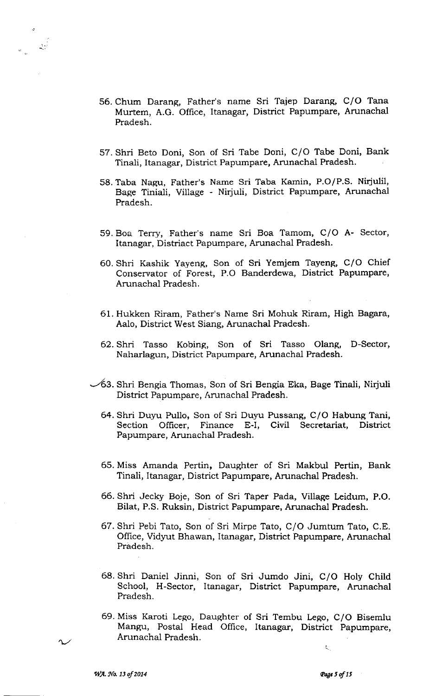- 56. Chum Darang, Father's name Sri Tajep Darang, C/O Tana Murtem, A.G. Ofhce, Itanagar, District Papumpare, Arunachal Pradesh.
- 57. Shri Beto Doni, Son of Sri Tabe Doni, C/O Tabe Doni, Bank Tinali, Itanagar, District Papumpare, Arunachal Pradesh.
- 58. Taba Nagu, Father's Name Sri Taba Kamin, P.O/P.S. Nitiulil, Bage Tiniali, Village - Nirjuli, District Papumpare, Arunachal Pradesh.
- 59. Boa Terry, Father's name Sri Boa Tamom, C/O A-Sector, Itanagar, Distriact Papumpare, Arunachal Pradesh.
- 60. Shri Kashik Yayeng, Son of Sri Yemjem Tayeng, C/O Chief Conservator of Forest, P.O Banderdewa, District Papumpare, Arunachal Pradesh.
- 61. Hukken Riram, Father's Name Sri Mohuk Riram, High Bagara, Aalo, District West Siang, Arunachal Pradesh.
- 62. Shri Tasso Kobing, Son of Sri Tasso Olang, D-Sector, Naharlagun, District Papumpare, Arunachal Pradesh.
- -43. Shri Bengia Thomas, Son of Sri Bengia Eka, Bage Tinali, Nirjuli District Papumpare, Arunachal Pradesh.
	- 64. Shri Duyu Pullo, Son of Sri Duyu Pussang, C/O Habung Tani, Section Officer, Finance E-1, Civil Secretariat, District Papumpare, Arunachal Pradesh.
	- 65. Miss Amanda Pertin, Daughter of Sri Makbul Pertin, Bank Tinali, Itanagar, District Papumpare, Arunachal Pradesh.
	- 66. Shri Jecky Boje, Son of Sri Taper Pada, Village Leidum, P.O. Bilat, P.S. Ruksin, District Papumpare, Arunachal Pradesh.
	- 67. Shri Pebi Tato, Son of Sri Mirpe Tato, C/O Jumtum Tato, C.E. Office, Vidyut Bhawan, Itanagar, District Papumpare, Arunachal Pradesh.
	- 68. Shri Daniel Jinni, Son of Sri Jumdo Jini, C/O Holy Child School, H-Sector, Itanagar, District Papumpare, Arunachal Pradesh.
	- 69. Miss Karoti Lego, Daughter of Sri Tembu Lego, C/O Bisemlu Mangu, Postal Head Office, Itanagar, District Papumpare, Arunachal Pradesh.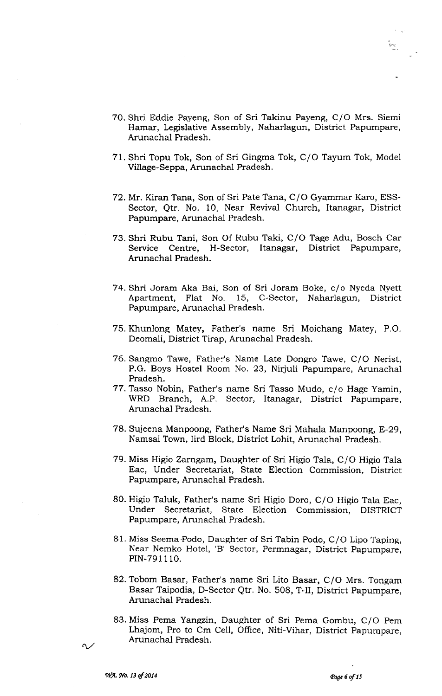- 70. Shri Eddie Paveng, Son of Sri Takinu Payeng, C/O Mrs. Siemi Hamar, Legislative Assembly, Naharlagun, District Papumpare, Arunachal Pradesh.
- 71. Shri Topu Tok, Son of Sri Gingma Tok, C/O Tayum Tok, Model Village-Seppa, Arunachal Pradesh.
- 72. Mr. Kiran Tana, Son of Sri Pate Tana, C/O Gyammar Karo, ESS-Sector, Qtr. No. 10, Near Revival Church, Itanagar, District Papumpare, Arunachal Pradesh.
- 73. Shri Rubu Tani, Son Of Rubu Taki, C/O Tage Adu, Bosch Car Service Centre, H-Sector, Itanagar, District Papumpare, Arunachal Pradesh.
- 74. Shri Joram Aka Bai, Son of Sri Joram Boke, c/o Nyeda Nyett 15, C-Sector, Naharlagun, District Papumpare, Arunachal Pradesh.
- 75. Khunlong Matey, Father's name Sri Moichang Matey, P.O. Deomali, District Tirap, Arunachal Pradesh.
- 76. Sangmo Tawe, Fathe:'s Name Late Dongro Tawe, C/O Nerist, P.G. Boys Hostel Room No. 23, Nirjuli Papumpare, Arunachal Pradesh.
- 77. Tasso Nobin, Father's name Sri Tasso Mudo, c/o Hage Yamin, WRD Branch, A.P. Sector, Itanagar, District Papumpare, Arunachal Pradesh.
- 78. Suieena Manpoong, Father's Name Sri Mahala Manpoong, E-29, Namsai Town, Iird Block, District Lohit, Arunachal Pradesh.
- 79. Miss Higio Zarngam, Daughter of Sri Higio Tala, C/O Higio Tala Eac, Under Secretariat, State Election Commission, District Papumpare, Arunachal Pradesh.
- 80. Higio Taluk, Father's name Sri Higio Doro, C/O Higio Tala Eac, Under Secretariat, State Election Commission, DISTRICT Papumpare, Arunachal Pradesh.
- 81. Miss Seema Podo, Daughter of Sri Tabin Podo, C/O Lipo Taping, Near Nemko Hotel, 'B' Sector, Permnagar, District Papumpare, PIN-791110.
- 82. Tobom Basar, Father's name Sri Lito Basar, C/O Mrs. Tongam Basar Taipodia, D-Sector Qtr. No. 508, T-II, District Papumpare, Arunachal Pradesh.
- 83. Miss Pema Yangzin, Daughter of Sri Pema Gombu, C/O Pem Lhajom, Pro to Cm Cell, Office, Niti-Vihar, District Papumpare, Arunachal Pradesh.

 $\Omega$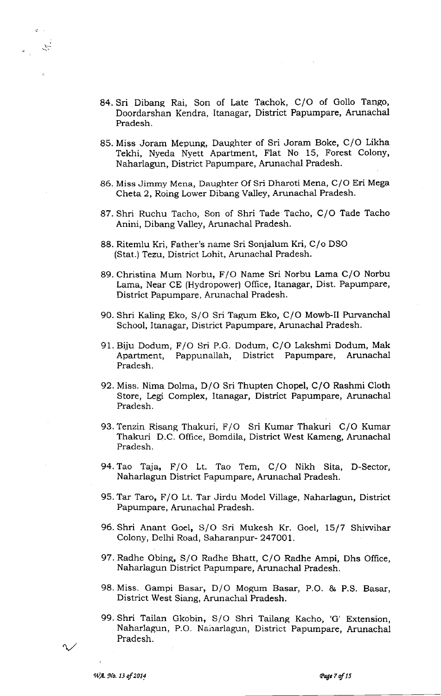- 84. Sri Dibang Rai, Son of Late Tachok, C/O of Gollo Tango, Doordarshan Kendra, Itanagar, District Papumpare, Arunachal Pradesh.
- 85. Miss Joram Mepung, Daughter of Sri Joram Boke, C/O Likha Tekhi, Nyeda Nyett Apartment, Flat No 15, Forest Colony, Naharlagun, District Papumpare, Arunachal Pradesh.
- 86. Miss Jimmy Mena, Daughter Of Sri Dharoti Mena, C/O Eri Mega Cheta 2, Roing Lower Dibang Valley, Arunachal Pradesh.
- 87. Shri Ruchu Tacho, Son of Shri Tade Tacho, C/O Tade Tacho Anini, Dibang Valley, Arunachal Pradesh.
- 88. Ritemlu Kri, Father's name Sri Sonialum Kri, C/o DSO (Stat.) Tezu, District Lohit, Arunachal Pradesh.
- 89. Christina Mum Norbu, F/O Name Sri Norbu Lama C/O Norbu Lama, Near CE (Hydropower) Office, Itanagar, Dist. Papumpare, District Papumpare, Arunachal Pradesh.
- 90. Shri Kaling Eko, S/O Sri Tagum Eko, C/O Mowb-II Purvanchal School, Itanagar, District Papumpare, Arunachal Pradesh.
- 91. Biiu Dodum, F/O Sri P.G. Dodum, C/O Lakshmi Dodum, Mak Apartment, Pappunallah, District Papumpare, Arunachal Pradesh.
- 92. Miss. Nima Dolma, D/O Sri Thupten Chopel, C/O Rashmi Cloth Store, Legi Complex, Itanagar, District Papumpare, Arunachal Pradesh.
- 93. Tenzin Risang Thakuri, F/O Sri Kumar Thakuri C/O Kumar Thakuri D.C. Office, Bomdila, District West Kameng, Arunachal Pradesh.
- 94. Tao Taja, F/O Lt. Tao Tem, C/O Nikh Sita, D-Sector, Naharlagun District Papumpare, Arunachal Pradesh.
- 95. Tar Taro, F/O Lt. Tar Jirdu Model Village, Naharlagun, District Papumpare, Arunachal Pradesh.
- 96. Shri Anant Goel, S/O Sri Mukesh Kr. Goel, 15/7 Shiwihar Colony, Delhi Road, Sahararpur- 247OOl.
- 97. Radhe Obing, S/O Radhe Bhatt, C/O Radhe Ampi, Dhs Office, Naharlagun District Papumpare, Arunachal Pradesh.
- 98. Miss. Gampi Basar, D/O Mogum Basar, P.O. & P.S. Basar, District West Siang, Arunachal Pradesh.
- 99. Shri Tailan Ckobin, S/O Shri Tailang Kacho, 'G' Extension, Naharlagun, P.O. Naharlagun, District Papumpare, Arunachal Pradesh.

ليبين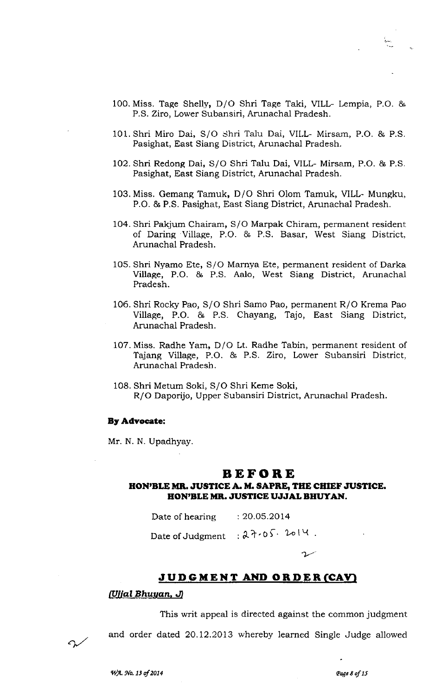- 101.Shri Miro Dai, S/O Shri Talu Dai, VILL- Mirsam, P.O. & P.S Pasighat, East Siang District, Arunachal Pradesh.
- 102. Shri Redong Dai, S/O Shri TaIu Dai, VILL- Mirsam, P.O. & P.S Pasighat, East Siang District, Arunachal Pradesh.
- 103. Miss. Gemang Tamuk, D/O Shri Olom Tamuk, VILL- Mungku, P.O. & P.S. Pasighat, East Siang District, Arunachal Pradesh.
- 104. Shri Pakium Chairam, S/O Marpak Chiram, permanent resident of Daring Village, P.O. & P.S. Basar, West Siang District, Arunachal Pradesh.
- 1O5. Shri Nyamo Ete, S/O Marnva Ete, permanent resident of Darka Village, P.O. & P.S. Aalo, West Siang District, Arunachal Pradesh.
- 106. Shri Rocky Pao, S/O Shri Samo Pao, permanent R/O Krema Pao Village, P.O. & P.S. Chayang, Tajo, East Siang District, Arunachal Pradesh.
- 107. Miss. Radhe Yam, D/O Lt. Radhe Tabin, permanent resident of Tajang Village, P.O. & P.S. Ziro, Lower Subansiri District, Arunachal Pradesh.
- 108. Shri Metum Soki, S/O Shri Keme Soki, R/O Daporijo, Upper Subansiri District, Arunachal Pradesh.

#### By Advocate:

Mr. N. N. Upadhyay

# BEFORE

# HON'BLE MR. JUSTICE A. M. SAPRE, THE CHIEF JUSTICE. EON'BLE MB. JUSTTCE UJJAL BHUTAN.

Date of hearing : 20.05.2014

Date of Judgment  $:27.05.$  loly.

# <u>J U D G M E N T AND O R D E R (CAV)</u>

## NllalBhuuan, A

This writ appeai is directed against the common judgment

 $\sim$ 

and order dated 20.12.2013 whereby learned Single Judge allowed

 $\Omega$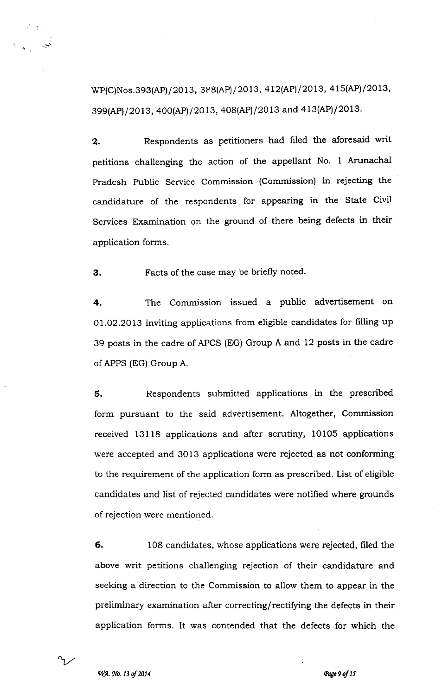WP(C)Nos.393(AP)/2013, 388(AP)/2013, 412(AP)/2013, 415(AP)/2013, 399(AP)/2013, 400(AP)/2013, 408(AP)/2013 and 413(AP)/2013.

2. Respondents as petitioners had filed the aforesaid writ petitions challenging the action of the appellant No. I Arunachal Pradesh Public Service Commission (Commission) in rejecting the candidature of the respondents for appearing in the State Civil Services Examination on the ground of there being defects in their application forms.

3. Facts of the case may be briefly noted.

4. The Commission issued a public advertisement on 01.02.2013 inviting applications from eligible candidates for frlling up 39 posts in the cadre of APCS (EG) Group A and 12 posts in the cadre of APPS (EG) Group A.

5. Respondents submitted applications in the prescribed form pursuant to the said advertisement. Altogether, Commission received 13118 applications and after scrutiny, 10105 applications were accepted and 3013 applications were rejected as not conforming to the requirement of the application form as prescribed. List of eligible candidates and list of rejected candidates were notified where grounds of rejection were mentioned.

6. 108 candidates, whose applications were rejected, filed the above writ petitions challenging rejection of their candidature and seeking a direction to the Commission to allow them to appear in the preliminary examination after correcting/rectifying the defects in their application forms. It was contended that the defects for which the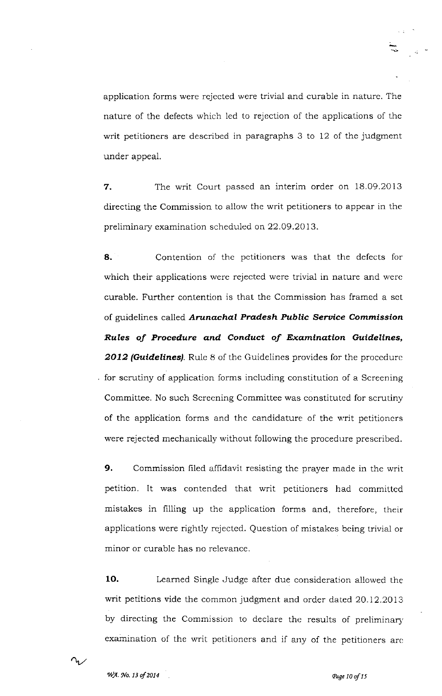application forms were rejected were trivial and curable in nature. The nature of the defects which 1ed to rejection of the applications of thc writ petitioners are described in paragraphs 3 to 12 of the judgment under appeal.

7. The writ Court passed an interim order on 18.09.2013 directing the Commission to allow the writ petitioners to appear in the preliminary examination scheduled on 22.O9.2O13.

8. Contention of the petitioners was that the defects for which their applications were rejected were trivial in nature and were curable. Further contention is that the Commission has framed a sct of guidelines called Arunachal Pradesh Public Service Commission Rules of Procedure and Conduct of Examination Guidelines, 2012 (Guidelines). Rule 8 of the Guidelines provides for the procedure for scrutiny of application forms including constitution of a Screening Committee. No such Screcning Committee was constitutcd for scrutiny of the application forms and the candidature of the writ petitioners were rejected mechanically without following the procedure prescribed.

9. Commission filed affidavit resisting the prayer made in the writ petition. It was contended that writ petitioners had committed mistakes in filling up the application forms and, therefore, their applications were rightly rejected. Question of mistakes being trivial or minor or curable has no relevance.

10. Learned Single Judge after due consideration allowed the writ petitions vide the common judgment and order dated 20.12.2013 by directing the Commission to declare the results of preliminary examination of the writ petitioners and if any of the petitioners are

 $n$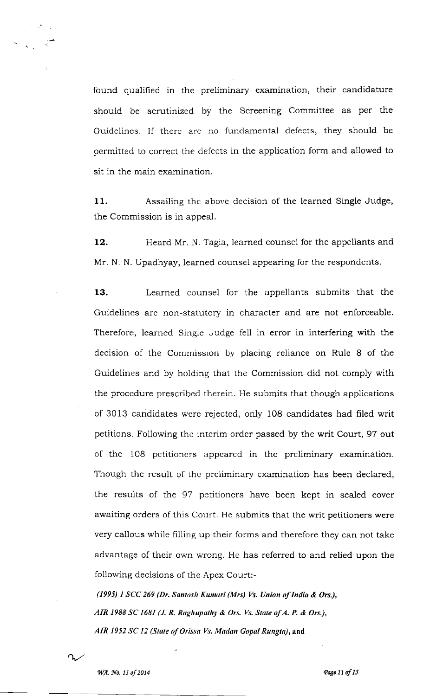found qualified in the preliminary examination, their candidature should be scrutinized by the Screening Committee as per the Guidclines. If there arc no fundamental defects, they should be permitted to correct the defects in the application form and allowed to sit in the main examination.

11. Assailing the above decision of the learned Single Judge, the Commission is in appeal.

12. Heard Mr. N. Tagia, learned counsel for the appellants and Mr. N. N. Upadhyay, iearned counsel appearing for the respondents

13. Learned counsel for the appellants submits that the Guidelines are non-statutory in character and are not enforceable. Therefore, learned Single Judge fell in error in interfering with the decision of the Commission by placing reliance on Rule 8 of the Guidelincs and by holding that the Commission did not comply with the procedure prescribed therein. He submits that though applications of 3013 candidates wcre rejected, only 108 candidates had filed writ petitions. Following thc interim order passed by the writ Court,97 out of thc 108 petitioners appeared in the preliminary examination. Though the result of the preliminary examination has been declared, the results of the 97 petitioners have been kept in sealed cover awaiting orders of this Court. He submits that the writ petitioners were very callous while filling up their forms and therefore they can not take advantage of their own wrong. He has referred to and relied upon the following decisions of the Apex Court:-

(1995) I SCC 269 (Dr. Sontosh Kunnri (Mrs) Vs. Union of Intlio & Ors.), AIR 1988 SC 1681 (J. R. Raghupathy & Ors. Vs. State of A. P. & Ors.), AIR 1952 SC 12 (State of Orissa Vs. Madan Gopal Rungta), and

 $\Omega_{\rm h}$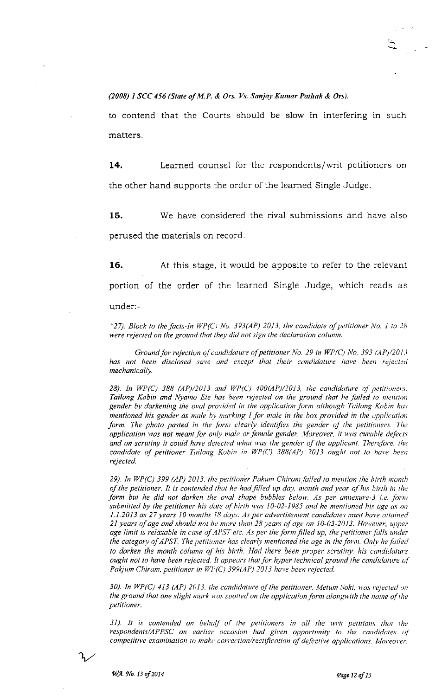#### (2008) 1 SCC 456 (State of M.P. & Ors. Vs. Sanjay Kumar Pathak & Ors).

to contend that thc Courts should be slow in interfering in such matters.

14. Learned counsel for the respondents/ writ petitioners on the other hand supports the ordcr of the learned Single Judge.

15. We have considered the rival submissions and have also perused the materials on record

16. At this stage, it would be apposite to refer to the relevant portion of the order of the learned Single Judge, which reads as

under:-

"27). Block to the facts-In  $WP(C)$  No. 393(AP) 2013, the candidate of petitioner No. 1 to 28 were rejected on the ground that they did not sign the declaration column.

Ground for rejection of candidature of petitioner No. 29 in WP(C) No. 393  $\frac{AP}{2013}$ has not been disclosed save and except that their candidature have been rejected mechanically.

28). In WP(C) 388 (AP)/2013 and WP(C) 400(AP)/2013, the candidature of petitioners. Tailang Kobin and Nyamo Ete has been rejected on the ground that he failed to mention gender by darkening the oval provided in the application form although Tailang Kobin has mentioned his gender as male by marking  $I$  for male in the box provided in the application form. The photo pasted in the form clearly identifies the gender of the petitioners. The application was not meant for only male or female gender. Moreover, it was curable defects and on scrutiny it could have detected what was the gender of the applicant. Therefore. the candidate of petitioner Tailang Kobin in WP(C) 388(AP) 2013 ought not to have been rejected.

29). In WP(C) 399 (AP) 2013, the petitioner Pakum Chiram failed to mention the birth month of the petitioner. It is contended that he had filled up day, month and year of his birth in the form but he did not darken the oval shape bubbles below. As per annexure-3 i.e. form submitted by the petitioner his date of birth was 10-02-1985 and he mentioned his age as on  $1.1.2013$  as 27 years 10 months 18 days. As per advertisement candidates must have attained 21 years of age and should not be more than 28 years of age on 10-03-2013. However, upper age limit is relaxable in case of APST etc. As per the form filled up, the petitioner falls under the category of APST. The petitioner has clearly mentioned the age in the form. Only he failed to darken the month column of his birth. Had there been proper scrutiny, his candidature ought not to have been rejected. It appears that for hyper technical ground the candidature of Pakjum Chiram, petitioner in WP(C) 399(AP) 2013 have been rejected.

30). In WP(C) 413 (AP) 2013, the candidature of the petitioner. Metum Soki, was rejected on the ground that one slight mark was spotted on the application form alongwith the name of the petitioner.

 $31$ ). It is contended on behalf of the petitioners in all the writ petitions that the  $respondents/APPSC$  on earlier occasion had given opportunity to the candidates of competitive examination to make correction/rectification of defective applications. Moreover.

 $\gamma$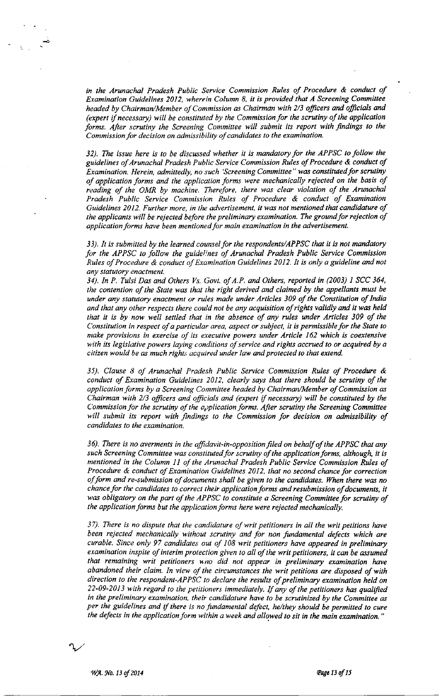in the Arunachal Pradesh Public Service Commission Rules of Procedure & conduct of Examination Guidelines 2012, wherein Column 8, il is provided that A Screening Commitlee headed by Chairman/Member of Commission as Chairman with 2/3 officers and officials and  $(expert if necessary)$  will be constituted by the Commission for the scrutiny of the application forms. After scrutiny the Screening Committee will submit its report with findings to the Commission for decision on admissibility of candidates to the examination.

32). The issue here is to be discussed whether it is mandatory for the APPSC to follow the guidelines of Arunachal Pradesh Public Service Commission Rules of Procedure & conduct of Examination. Herein, admittedly, no such 'Screening Committee" was constituted for scrutiny of application forms and the application forms were mechanically rejected on the basis of reading of the OMR by machine. Therefore, there was clear violation of the Arunachal Pradesh Public Service Commission Rules of Procedure & conduct of Examination Guidelines 2012. Further more, in the advertisement, it was not mentioned that candidature of the applicants will be rejected before the preliminary examination. The ground for rejection of application forms have been mentioned for main examination in the advertisement.

33). It is submitted by the learned counsel for the respondents/APPSC that it is not mandatory for the APPSC to follow the guidelines of Arunachal Pradesh Public Service Commission Rules of Procedure & conduct of Examination Guidelines 2012. It is only a guideline and not any statutory enactment.

34). In P. Tulsi Das and Others Vs. Govt. of A.P. and Others, reported in (2003) I SCC 364, the contention of the State was that the right derived and claimed by the appellants must be under any statutory enactment or rules made under Articles 309 of the Constitution of India and that any other respects there could not be any acquisition of rights validly and it was held that it is by now well setlled that in the absence of any rules under Articles 309 of lhe Constitution in respect of a particular area, aspect or subject, it is permissible for the State to make provisions in exercise of its executive powers under Article 162 which is coextensive with its legislative powers laying conditions of service and rights accrued to or acquired by a citizen would be as much rights acquired under law and protected to that extend.

35). Clause 8 of Arunachal Pradesh Public Service Commission Rules of Procedure & conduct of Examination Guidelines 2012, clearly says that there should be scrutiny of the application forms by a Screening Committee headed by Chairman/Member of Commission as Chairman with  $2/3$  officers and officials and (expert if necessary) will be constituted by the Commission for the scrutiny of the  $a<sub>p</sub>$ plication forms. After scrutiny the Screening Committee will submit its report with findings to the Commission for decision on admissibility of candidates to the examination.

36). There is no averments in the affidavit-in-opposition filed on behalf of the APPSC that any such Screening Committee was constituted for scrutiny of the application forms, although, it is mentioned in the Column 1l of the Arunachal Pradesh Public Service Commission Rules of Procedure  $\&$  conduct of Examination Guidelines 2012, that no second chance for correction ofform and re-submission of documents shall be given to the candidales. When there was no chance for the candidates to correct their application forms and resubmission of documents, it was obligatory on the part of the APPSC to constitute a Screening Committee for scrutiny of the application forms but the application forms here were rejected mechanically.

 $37$ ). There is no dispute that the candidature of writ petitioners in all the writ petitions have been rejected mechanically without scrutiny and for non fundamental defects which are curable. Since only 97 candidates out of 108 writ petitioners have appeared in preliminary examination inspite of interim protection given to all of the writ petitioners, it can be assumed that remaining writ petitioners wno did not appear in preliminary examination have abandoned their claim. In view of the circumstances the writ petilions are disposed of with direction to the respondent-APPSC to declare the results of preliminary examination held on 22-09-2013 with regard to the petitioners immediately. If any of the petitioners has qualified in the preliminary examination, their candidature have to be scrutinized by the Committee as per the guidelines and if there is no fundamental defect, he/they should be permitted to cure the defects in the application form within a week and allowed to sit in the main examination."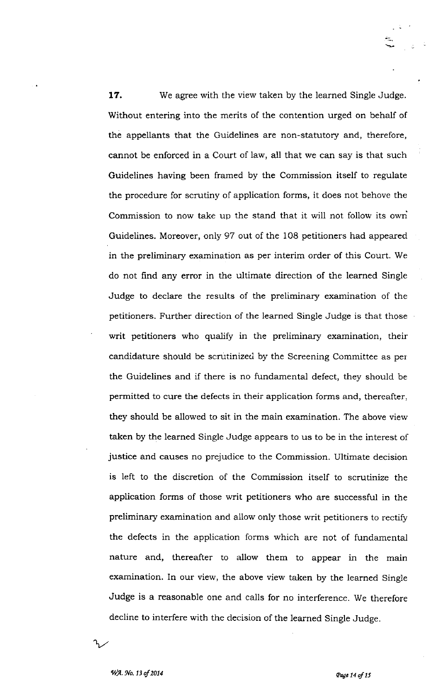**17.** We agree with the view taken by the learned Single Judge. Without entering into the merits of the contention urged on behalf of the appellants that the Guidelines are non-statutory and, therefore, cannot be enforced in a Court of law, all that we can say is that such Guidelines having been framed by the Commission itself to regulate the procedure for scrutiny of application forms, it does not behove the Commission to now take up the stand that it will not foliow its owri Guidelines. Moreover, only 97 out of the 108 petitioners had appeared in the preliminary examination as per interim order of this Court. We do not find any error in the ultimate direction of the learned Single Judge to declare the results of the preliminary examination of the petitioners. Further direction of the learned Single Judge is that those writ petitioners who qualify in the preliminary examination, their candidature should be scrutinized by the Screening Committee as per the Guidelines and if there is no fundamental defect, they should be permitted to cure the defects in their application forms and, thereafter, they should be allowed to sit in the main examination. The above view taken by the learned Single Judge appears to us to be in the interest of justice and causes no prejudice to the Commission. Ultimate decision is left to the discretion of the Commission itself to scrutinize the application forms of those writ petitioners who are successful in the preliminary examination and allow only those writ petitioners to rectify the defects in the application forms which are not of fundamental nature and, thereafter to allow them to appear in the main examination. In our view, the above view taken by the learned Single Judge is a reasonable one and calls for no interference. We therefore decline to interfere with the decision of the learned Single Judge.